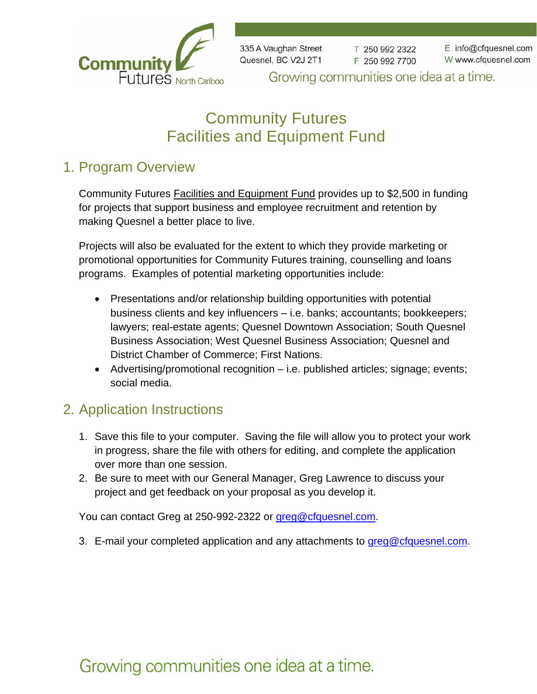

335 A Vaughan Street Quesnel, BC V2J 2T1

T 250 992 2322 F 250 992 7700

E info@cfquesnel.com W www.cfquesnel.com

Growing communities one idea at a time.

# Community Futures Facilities and Equipment Fund

#### 1. Program Overview

Community Futures Facilities and Equipment Fund provides up to \$2,500 in funding for projects that support business and employee recruitment and retention by making Quesnel a better place to live.

Projects will also be evaluated for the extent to which they provide marketing or promotional opportunities for Community Futures training, counselling and loans programs. Examples of potential marketing opportunities include:

- Presentations and/or relationship building opportunities with potential business clients and key influencers – i.e. banks; accountants; bookkeepers; lawyers; real-estate agents; Quesnel Downtown Association; South Quesnel Business Association; West Quesnel Business Association; Quesnel and District Chamber of Commerce; First Nations.
- Advertising/promotional recognition i.e. published articles; signage; events; social media.

#### 2. Application Instructions

- 1. Save this file to your computer. Saving the file will allow you to protect your work in progress, share the file with others for editing, and complete the application over more than one session.
- 2. Be sure to meet with our General Manager, Greg Lawrence to discuss your project and get feedback on your proposal as you develop it.

You can contact Greg at 250-992-2322 or greg@cfquesnel.com.

3. E-mail your completed application and any attachments to greg@cfquesnel.com.

# Growing communities one idea at a time.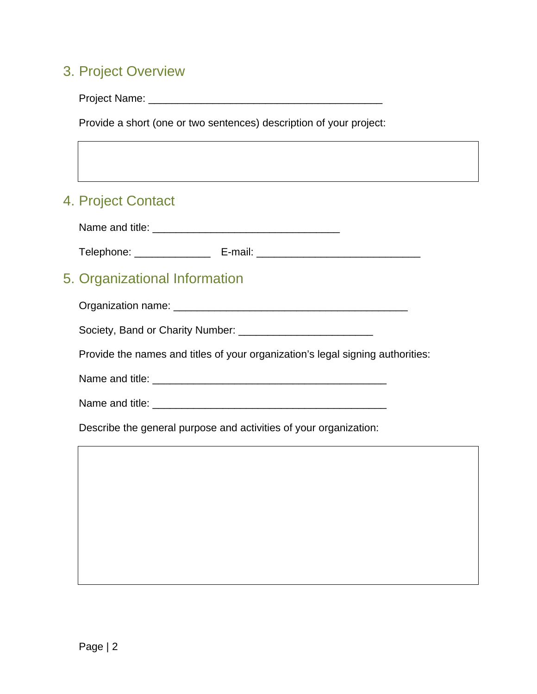#### 3. Project Overview

Project Name: **Example 2018** 

Provide a short (one or two sentences) description of your project:

#### 4. Project Contact

Name and title: **We are all that the set of the set of the set of the set of the set of the set of the set of the set of the set of the set of the set of the set of the set of the set of the set of the set of the set of th** 

Telephone: \_\_\_\_\_\_\_\_\_\_\_\_\_ E-mail: \_\_\_\_\_\_\_\_\_\_\_\_\_\_\_\_\_\_\_\_\_\_\_\_\_\_\_\_

## 5. Organizational Information

Organization name: \_\_\_\_\_\_\_\_\_\_\_\_\_\_\_\_\_\_\_\_\_\_\_\_\_\_\_\_\_\_\_\_\_\_\_\_\_\_\_\_

Society, Band or Charity Number: \_\_\_\_\_\_\_\_\_\_\_\_\_\_\_\_\_\_\_\_\_\_\_

Provide the names and titles of your organization's legal signing authorities:

Name and title: \_\_\_\_\_\_\_\_\_\_\_\_\_\_\_\_\_\_\_\_\_\_\_\_\_\_\_\_\_\_\_\_\_\_\_\_\_\_\_\_

Name and title: \_\_\_\_\_\_\_\_\_\_\_\_\_\_\_\_\_\_\_\_\_\_\_\_\_\_\_\_\_\_\_\_\_\_\_\_\_\_\_\_

Describe the general purpose and activities of your organization: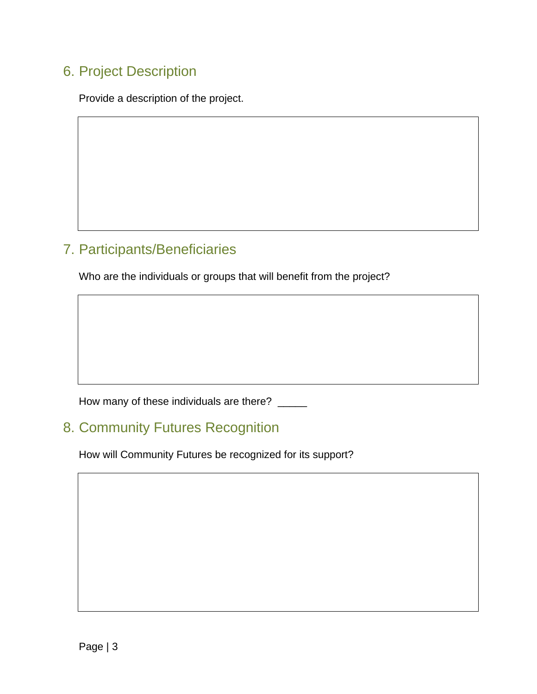### 6. Project Description

Provide a description of the project.

# 7. Participants/Beneficiaries

Who are the individuals or groups that will benefit from the project?

How many of these individuals are there? \_\_\_\_\_

#### 8. Community Futures Recognition

How will Community Futures be recognized for its support?